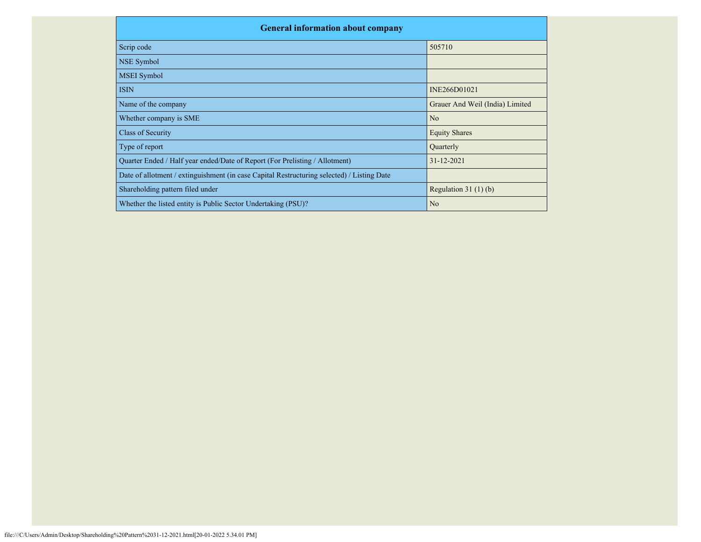| <b>General information about company</b>                                                   |                                 |  |  |  |  |  |  |  |
|--------------------------------------------------------------------------------------------|---------------------------------|--|--|--|--|--|--|--|
| Scrip code                                                                                 | 505710                          |  |  |  |  |  |  |  |
| NSE Symbol                                                                                 |                                 |  |  |  |  |  |  |  |
| <b>MSEI</b> Symbol                                                                         |                                 |  |  |  |  |  |  |  |
| <b>ISIN</b>                                                                                | INE266D01021                    |  |  |  |  |  |  |  |
| Name of the company                                                                        | Grauer And Weil (India) Limited |  |  |  |  |  |  |  |
| Whether company is SME                                                                     | N <sub>o</sub>                  |  |  |  |  |  |  |  |
| Class of Security                                                                          | <b>Equity Shares</b>            |  |  |  |  |  |  |  |
| Type of report                                                                             | Quarterly                       |  |  |  |  |  |  |  |
| Quarter Ended / Half year ended/Date of Report (For Prelisting / Allotment)                | $31 - 12 - 2021$                |  |  |  |  |  |  |  |
| Date of allotment / extinguishment (in case Capital Restructuring selected) / Listing Date |                                 |  |  |  |  |  |  |  |
| Shareholding pattern filed under                                                           | Regulation $31(1)(b)$           |  |  |  |  |  |  |  |
| Whether the listed entity is Public Sector Undertaking (PSU)?                              | N <sub>o</sub>                  |  |  |  |  |  |  |  |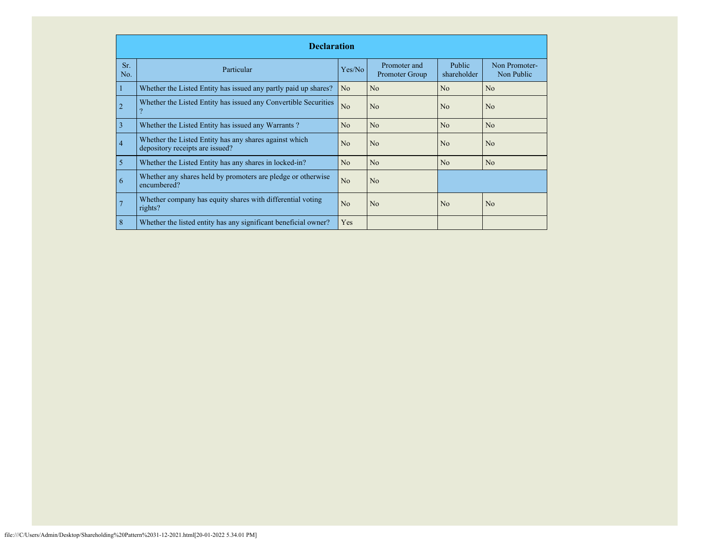|                | <b>Declaration</b>                                                                        |                |                                |                              |                             |  |  |  |  |  |
|----------------|-------------------------------------------------------------------------------------------|----------------|--------------------------------|------------------------------|-----------------------------|--|--|--|--|--|
| Sr.<br>No.     | Particular                                                                                | Yes/No         | Promoter and<br>Promoter Group | <b>Public</b><br>shareholder | Non Promoter-<br>Non Public |  |  |  |  |  |
|                | Whether the Listed Entity has issued any partly paid up shares?                           | N <sub>o</sub> | No                             | No                           | N <sub>0</sub>              |  |  |  |  |  |
| $\overline{2}$ | Whether the Listed Entity has issued any Convertible Securities                           | No             | No                             | No                           | N <sub>o</sub>              |  |  |  |  |  |
| 3              | Whether the Listed Entity has issued any Warrants?                                        | No             | No                             | No                           | No                          |  |  |  |  |  |
| $\overline{4}$ | Whether the Listed Entity has any shares against which<br>depository receipts are issued? | N <sub>0</sub> | No                             | N <sub>o</sub>               | N <sub>0</sub>              |  |  |  |  |  |
| 5              | Whether the Listed Entity has any shares in locked-in?                                    | No             | No                             | No                           | N <sub>o</sub>              |  |  |  |  |  |
| 6              | Whether any shares held by promoters are pledge or otherwise<br>encumbered?               | N <sub>o</sub> | No                             |                              |                             |  |  |  |  |  |
| 7              | Whether company has equity shares with differential voting<br>rights?                     | N <sub>0</sub> | N <sub>o</sub>                 | N <sub>0</sub>               | N <sub>0</sub>              |  |  |  |  |  |
| 8              | Whether the listed entity has any significant beneficial owner?                           | Yes            |                                |                              |                             |  |  |  |  |  |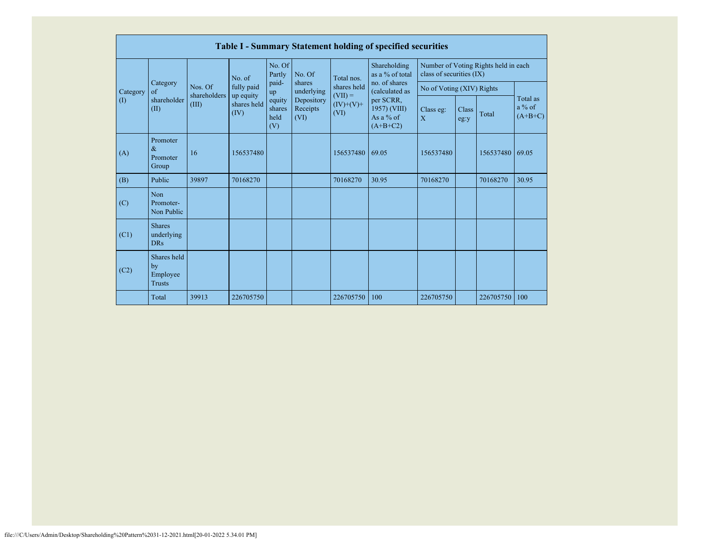|                                    | <b>Table I - Summary Statement holding of specified securities</b> |                                  |                                 |                                |                      |                                                      |                                 |                           |       |                                      |       |
|------------------------------------|--------------------------------------------------------------------|----------------------------------|---------------------------------|--------------------------------|----------------------|------------------------------------------------------|---------------------------------|---------------------------|-------|--------------------------------------|-------|
|                                    |                                                                    |                                  | No. of                          | No. Of<br>Partly               | No. Of               | Total nos.                                           | Shareholding<br>as a % of total | class of securities (IX)  |       | Number of Voting Rights held in each |       |
| Category                           | Category<br>$\sigma$ f                                             | Nos. Of                          | fully paid                      | paid-<br>up                    | shares<br>underlying | shares held<br>$(VII) =$                             | no. of shares<br>(calculated as | No of Voting (XIV) Rights |       |                                      |       |
| shareholder<br>$($ $($ $)$<br>(II) | shareholders<br>(III)                                              | up equity<br>shares held<br>(IV) | equity<br>shares<br>held<br>(V) | Depository<br>Receipts<br>(VI) | $(IV)+(V)+$<br>(VI)  | per SCRR,<br>1957) (VIII)<br>As a % of<br>$(A+B+C2)$ | Class eg:<br>X                  | Class<br>eg:y             | Total | Total as<br>$a\%$ of<br>$(A+B+C)$    |       |
| (A)                                | Promoter<br>$\&$<br>Promoter<br>Group                              | 16                               | 156537480                       |                                |                      | 156537480                                            | 69.05                           | 156537480                 |       | 156537480                            | 69.05 |
| (B)                                | Public                                                             | 39897                            | 70168270                        |                                |                      | 70168270                                             | 30.95                           | 70168270                  |       | 70168270                             | 30.95 |
| (C)                                | <b>Non</b><br>Promoter-<br>Non Public                              |                                  |                                 |                                |                      |                                                      |                                 |                           |       |                                      |       |
| (C1)                               | <b>Shares</b><br>underlying<br><b>DRs</b>                          |                                  |                                 |                                |                      |                                                      |                                 |                           |       |                                      |       |
| (C2)                               | Shares held<br>by<br>Employee<br><b>Trusts</b>                     |                                  |                                 |                                |                      |                                                      |                                 |                           |       |                                      |       |
|                                    | Total                                                              | 39913                            | 226705750                       |                                |                      | 226705750                                            | 100                             | 226705750                 |       | 226705750                            | 100   |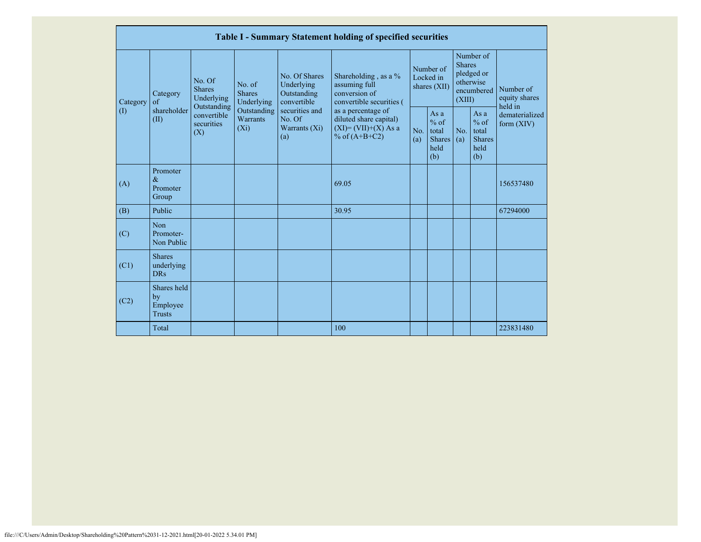|          |                            |                                                |                                        |                                           |                                                  | Table I - Summary Statement holding of specified securities                                |                                                                                    |                                                         |                                        |                                                         |                                                    |                                       |
|----------|----------------------------|------------------------------------------------|----------------------------------------|-------------------------------------------|--------------------------------------------------|--------------------------------------------------------------------------------------------|------------------------------------------------------------------------------------|---------------------------------------------------------|----------------------------------------|---------------------------------------------------------|----------------------------------------------------|---------------------------------------|
| Category |                            | Category<br>$\alpha$ f                         | No. Of<br><b>Shares</b><br>Outstanding | Underlying                                | No. of<br><b>Shares</b><br>Underlying            | No. Of Shares<br>Underlying<br>Outstanding<br>convertible                                  | Shareholding, as a %<br>assuming full<br>conversion of<br>convertible securities ( |                                                         | Number of<br>Locked in<br>shares (XII) | <b>Shares</b><br>(XIII)                                 | Number of<br>pledged or<br>otherwise<br>encumbered | Number of<br>equity shares<br>held in |
|          | $\left( \mathrm{I}\right)$ | shareholder<br>(II)                            | convertible<br>securities<br>(X)       | Outstanding<br><b>Warrants</b><br>$(X_i)$ | securities and<br>No. Of<br>Warrants (Xi)<br>(a) | as a percentage of<br>diluted share capital)<br>$(XI) = (VII)+(X) As a$<br>% of $(A+B+C2)$ | No.<br>(a)                                                                         | As a<br>$%$ of<br>total<br><b>Shares</b><br>held<br>(b) | No.<br>(a)                             | As a<br>$%$ of<br>total<br><b>Shares</b><br>held<br>(b) | dematerialized<br>form $(XIV)$                     |                                       |
|          | (A)                        | Promoter<br>$\&$<br>Promoter<br>Group          |                                        |                                           |                                                  | 69.05                                                                                      |                                                                                    |                                                         |                                        |                                                         | 156537480                                          |                                       |
|          | (B)                        | Public                                         |                                        |                                           |                                                  | 30.95                                                                                      |                                                                                    |                                                         |                                        |                                                         | 67294000                                           |                                       |
|          | (C)                        | Non<br>Promoter-<br>Non Public                 |                                        |                                           |                                                  |                                                                                            |                                                                                    |                                                         |                                        |                                                         |                                                    |                                       |
|          | (C1)                       | <b>Shares</b><br>underlying<br><b>DRs</b>      |                                        |                                           |                                                  |                                                                                            |                                                                                    |                                                         |                                        |                                                         |                                                    |                                       |
|          | (C2)                       | Shares held<br>by<br>Employee<br><b>Trusts</b> |                                        |                                           |                                                  |                                                                                            |                                                                                    |                                                         |                                        |                                                         |                                                    |                                       |
|          |                            | Total                                          |                                        |                                           |                                                  | 100                                                                                        |                                                                                    |                                                         |                                        |                                                         | 223831480                                          |                                       |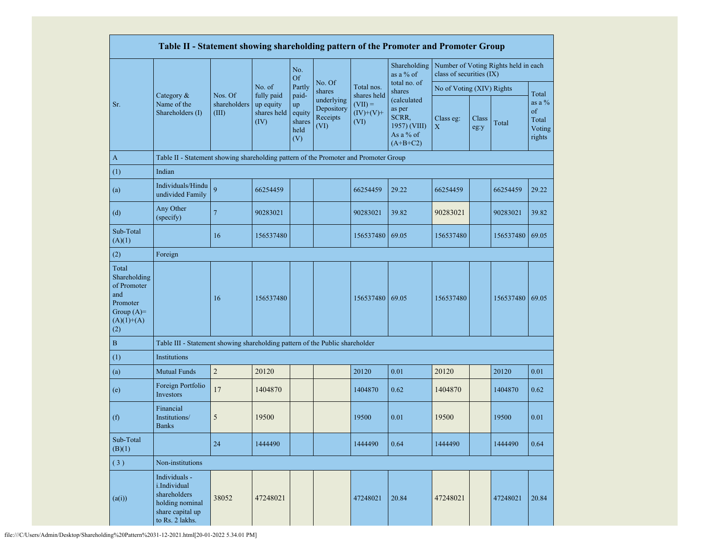|                                                                                                | Table II - Statement showing shareholding pattern of the Promoter and Promoter Group                    |                                  |                                                |                                                |                                              |                                                 |                                                                           |                           |               |                                      |                                             |
|------------------------------------------------------------------------------------------------|---------------------------------------------------------------------------------------------------------|----------------------------------|------------------------------------------------|------------------------------------------------|----------------------------------------------|-------------------------------------------------|---------------------------------------------------------------------------|---------------------------|---------------|--------------------------------------|---------------------------------------------|
|                                                                                                |                                                                                                         |                                  |                                                | No.<br><b>Of</b>                               |                                              |                                                 | Shareholding<br>as a % of                                                 | class of securities (IX)  |               | Number of Voting Rights held in each |                                             |
|                                                                                                |                                                                                                         |                                  | No. of                                         | Partly                                         | No. Of<br>shares                             | Total nos.                                      | total no. of<br>shares                                                    | No of Voting (XIV) Rights |               |                                      | Total                                       |
| Sr.                                                                                            | Category &<br>Name of the<br>Shareholders (I)                                                           | Nos. Of<br>shareholders<br>(III) | fully paid<br>up equity<br>shares held<br>(IV) | paid-<br>up<br>equity<br>shares<br>held<br>(V) | underlying<br>Depository<br>Receipts<br>(VI) | shares held<br>$(VII) =$<br>$(IV)+(V)+$<br>(VI) | (calculated<br>as per<br>SCRR,<br>1957) (VIII)<br>As a % of<br>$(A+B+C2)$ | Class eg:<br>$\mathbf X$  | Class<br>eg:y | Total                                | as a $%$<br>of<br>Total<br>Voting<br>rights |
| $\mathbf{A}$                                                                                   | Table II - Statement showing shareholding pattern of the Promoter and Promoter Group                    |                                  |                                                |                                                |                                              |                                                 |                                                                           |                           |               |                                      |                                             |
| (1)                                                                                            | Indian                                                                                                  |                                  |                                                |                                                |                                              |                                                 |                                                                           |                           |               |                                      |                                             |
| (a)                                                                                            | Individuals/Hindu<br>undivided Family                                                                   | $\overline{Q}$                   | 66254459                                       |                                                |                                              | 66254459                                        | 29.22                                                                     | 66254459                  |               | 66254459                             | 29.22                                       |
| (d)                                                                                            | Any Other<br>(specify)                                                                                  | $\overline{7}$                   | 90283021                                       |                                                |                                              | 90283021                                        | 39.82                                                                     | 90283021                  |               | 90283021                             | 39.82                                       |
| Sub-Total<br>(A)(1)                                                                            |                                                                                                         | 16                               | 156537480                                      |                                                |                                              | 156537480                                       | 69.05                                                                     | 156537480                 |               | 156537480                            | 69.05                                       |
| (2)                                                                                            | Foreign                                                                                                 |                                  |                                                |                                                |                                              |                                                 |                                                                           |                           |               |                                      |                                             |
| Total<br>Shareholding<br>of Promoter<br>and<br>Promoter<br>Group $(A)=$<br>$(A)(1)+(A)$<br>(2) |                                                                                                         | 16                               | 156537480                                      |                                                |                                              | 156537480                                       | 69.05                                                                     | 156537480                 |               | 156537480 69.05                      |                                             |
| $\, {\bf B}$                                                                                   | Table III - Statement showing shareholding pattern of the Public shareholder                            |                                  |                                                |                                                |                                              |                                                 |                                                                           |                           |               |                                      |                                             |
| (1)                                                                                            | Institutions                                                                                            |                                  |                                                |                                                |                                              |                                                 |                                                                           |                           |               |                                      |                                             |
| (a)                                                                                            | <b>Mutual Funds</b>                                                                                     | $\sqrt{2}$                       | 20120                                          |                                                |                                              | 20120                                           | 0.01                                                                      | 20120                     |               | 20120                                | 0.01                                        |
| (e)                                                                                            | Foreign Portfolio<br>Investors                                                                          | 17                               | 1404870                                        |                                                |                                              | 1404870                                         | 0.62                                                                      | 1404870                   |               | 1404870                              | 0.62                                        |
| (f)                                                                                            | Financial<br>Institutions/<br><b>Banks</b>                                                              | 5                                | 19500                                          |                                                |                                              | 19500                                           | 0.01                                                                      | 19500                     |               | 19500                                | 0.01                                        |
| Sub-Total<br>(B)(1)                                                                            |                                                                                                         | 24                               | 1444490                                        |                                                |                                              | 1444490                                         | 0.64                                                                      | 1444490                   |               | 1444490                              | 0.64                                        |
| (3)                                                                                            | Non-institutions                                                                                        |                                  |                                                |                                                |                                              |                                                 |                                                                           |                           |               |                                      |                                             |
| (a(i))                                                                                         | Individuals -<br>i.Individual<br>shareholders<br>holding nominal<br>share capital up<br>to Rs. 2 lakhs. | 38052                            | 47248021                                       |                                                |                                              | 47248021                                        | 20.84                                                                     | 47248021                  |               | 47248021                             | 20.84                                       |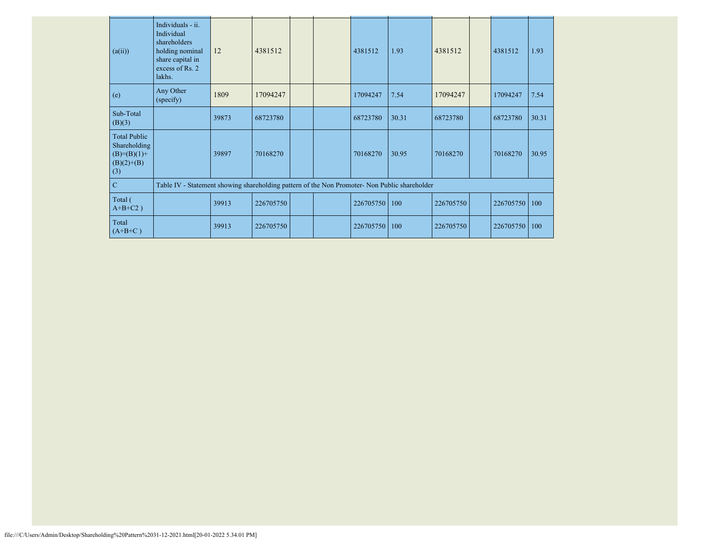| (a(ii))                                                                       | Individuals - ii.<br>Individual<br>shareholders<br>holding nominal<br>share capital in<br>excess of Rs. 2<br>lakhs. | 12    | 4381512   |  | 4381512   | 1.93  | 4381512   | 4381512   | 1.93  |
|-------------------------------------------------------------------------------|---------------------------------------------------------------------------------------------------------------------|-------|-----------|--|-----------|-------|-----------|-----------|-------|
| (e)                                                                           | Any Other<br>(specify)                                                                                              | 1809  | 17094247  |  | 17094247  | 7.54  | 17094247  | 17094247  | 7.54  |
| Sub-Total<br>(B)(3)                                                           |                                                                                                                     | 39873 | 68723780  |  | 68723780  | 30.31 | 68723780  | 68723780  | 30.31 |
| <b>Total Public</b><br>Shareholding<br>$(B)= (B)(1) +$<br>$(B)(2)+(B)$<br>(3) |                                                                                                                     | 39897 | 70168270  |  | 70168270  | 30.95 | 70168270  | 70168270  | 30.95 |
| $\mathbf C$                                                                   | Table IV - Statement showing shareholding pattern of the Non Promoter- Non Public shareholder                       |       |           |  |           |       |           |           |       |
| Total (<br>$A+B+C2$ )                                                         |                                                                                                                     | 39913 | 226705750 |  | 226705750 | 100   | 226705750 | 226705750 | 100   |
| Total<br>$(A+B+C)$                                                            |                                                                                                                     | 39913 | 226705750 |  | 226705750 | 100   | 226705750 | 226705750 | 100   |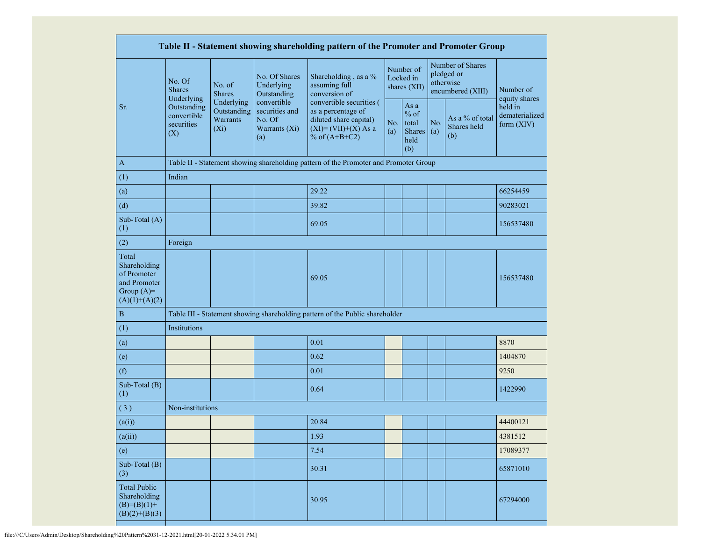|                                                                                         |                                                                                                     |                         |                                                                 | Table II - Statement showing shareholding pattern of the Promoter and Promoter Group                                   |            |                                                  |            |                                                                  |                                           |
|-----------------------------------------------------------------------------------------|-----------------------------------------------------------------------------------------------------|-------------------------|-----------------------------------------------------------------|------------------------------------------------------------------------------------------------------------------------|------------|--------------------------------------------------|------------|------------------------------------------------------------------|-------------------------------------------|
|                                                                                         | No. Of<br><b>Shares</b><br>Underlying                                                               | No. of<br><b>Shares</b> | No. Of Shares<br>Underlying<br>Outstanding                      | Shareholding, as a %<br>assuming full<br>conversion of                                                                 |            | Number of<br>Locked in<br>shares (XII)           |            | Number of Shares<br>pledged or<br>otherwise<br>encumbered (XIII) | Number of<br>equity shares                |
| Sr.                                                                                     | Underlying<br>Outstanding<br>Outstanding<br>convertible<br>Warrants<br>securities<br>$(X_i)$<br>(X) |                         | convertible<br>securities and<br>No. Of<br>Warrants (Xi)<br>(a) | convertible securities (<br>as a percentage of<br>diluted share capital)<br>$(XI) = (VII)+(X) As a$<br>% of $(A+B+C2)$ | No.<br>(a) | As a<br>$%$ of<br>total<br>Shares<br>held<br>(b) | No.<br>(a) | As a % of total<br>Shares held<br>(b)                            | held in<br>dematerialized<br>form $(XIV)$ |
| $\mathbf{A}$                                                                            |                                                                                                     |                         |                                                                 | Table II - Statement showing shareholding pattern of the Promoter and Promoter Group                                   |            |                                                  |            |                                                                  |                                           |
| (1)                                                                                     | Indian                                                                                              |                         |                                                                 |                                                                                                                        |            |                                                  |            |                                                                  |                                           |
| (a)                                                                                     |                                                                                                     |                         |                                                                 | 29.22                                                                                                                  |            |                                                  |            |                                                                  | 66254459                                  |
| (d)                                                                                     |                                                                                                     |                         |                                                                 | 39.82                                                                                                                  |            |                                                  |            |                                                                  | 90283021                                  |
| Sub-Total (A)<br>(1)                                                                    |                                                                                                     |                         |                                                                 | 69.05                                                                                                                  |            |                                                  |            |                                                                  | 156537480                                 |
| (2)                                                                                     | Foreign                                                                                             |                         |                                                                 |                                                                                                                        |            |                                                  |            |                                                                  |                                           |
| Total<br>Shareholding<br>of Promoter<br>and Promoter<br>Group $(A)=$<br>$(A)(1)+(A)(2)$ |                                                                                                     |                         |                                                                 | 69.05                                                                                                                  |            |                                                  |            |                                                                  | 156537480                                 |
| $\, {\bf B}$                                                                            |                                                                                                     |                         |                                                                 | Table III - Statement showing shareholding pattern of the Public shareholder                                           |            |                                                  |            |                                                                  |                                           |
| (1)                                                                                     | Institutions                                                                                        |                         |                                                                 |                                                                                                                        |            |                                                  |            |                                                                  |                                           |
| (a)                                                                                     |                                                                                                     |                         |                                                                 | 0.01                                                                                                                   |            |                                                  |            |                                                                  | 8870                                      |
| (e)                                                                                     |                                                                                                     |                         |                                                                 | 0.62                                                                                                                   |            |                                                  |            |                                                                  | 1404870                                   |
| (f)                                                                                     |                                                                                                     |                         |                                                                 | 0.01                                                                                                                   |            |                                                  |            |                                                                  | 9250                                      |
| Sub-Total (B)<br>(1)                                                                    |                                                                                                     |                         |                                                                 | 0.64                                                                                                                   |            |                                                  |            |                                                                  | 1422990                                   |
| $\overline{3)}$                                                                         | Non-institutions                                                                                    |                         |                                                                 |                                                                                                                        |            |                                                  |            |                                                                  |                                           |
| (a(i))                                                                                  |                                                                                                     |                         |                                                                 | 20.84                                                                                                                  |            |                                                  |            |                                                                  | 44400121                                  |
| (a(ii))                                                                                 |                                                                                                     |                         |                                                                 | 1.93                                                                                                                   |            |                                                  |            |                                                                  | 4381512                                   |
| (e)                                                                                     |                                                                                                     |                         |                                                                 | 7.54                                                                                                                   |            |                                                  |            |                                                                  | 17089377                                  |
| Sub-Total (B)<br>(3)                                                                    |                                                                                                     |                         |                                                                 | 30.31                                                                                                                  |            |                                                  |            |                                                                  | 65871010                                  |
| <b>Total Public</b><br>Shareholding<br>$(B)= (B)(1) +$<br>$(B)(2)+(B)(3)$               |                                                                                                     |                         |                                                                 | 30.95                                                                                                                  |            |                                                  |            |                                                                  | 67294000                                  |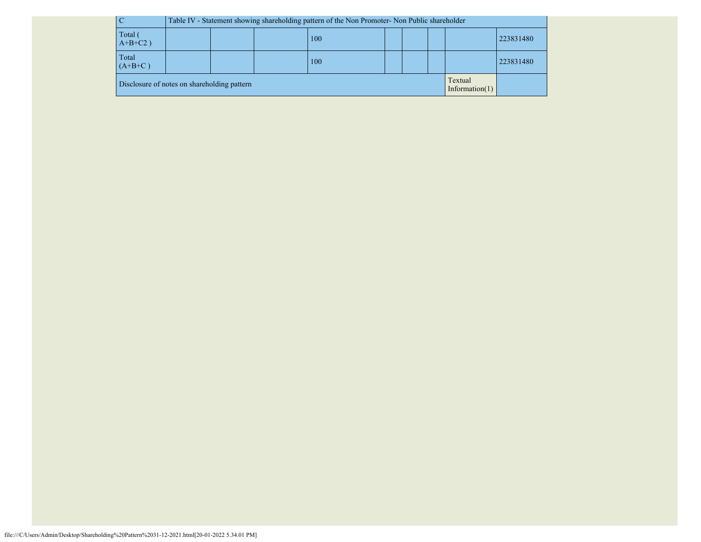|                                             | Table IV - Statement showing shareholding pattern of the Non Promoter- Non Public shareholder |  |  |  |  |  |  |                              |           |
|---------------------------------------------|-----------------------------------------------------------------------------------------------|--|--|--|--|--|--|------------------------------|-----------|
| Total (<br>$A+B+C2$ )                       | 100                                                                                           |  |  |  |  |  |  |                              | 223831480 |
| Total<br>$(A+B+C)$                          | 223831480<br>100                                                                              |  |  |  |  |  |  |                              |           |
| Disclosure of notes on shareholding pattern |                                                                                               |  |  |  |  |  |  | Textual<br>Information $(1)$ |           |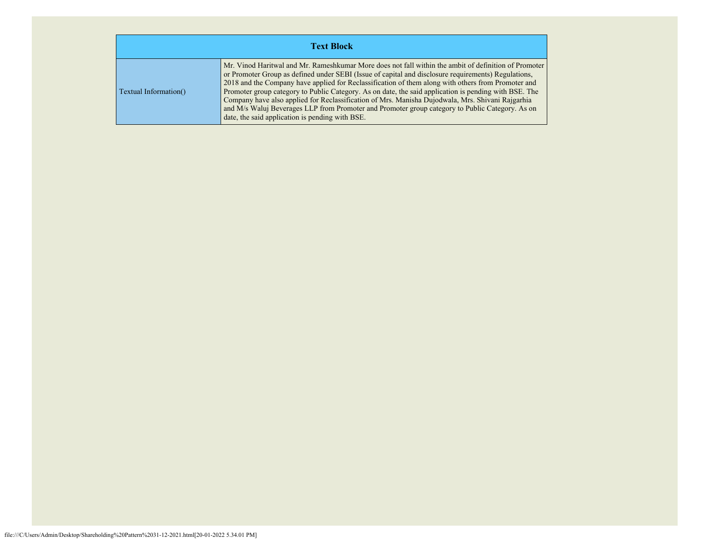| <b>Text Block</b>     |                                                                                                                                                                                                                                                                                                                                                                                                                                                                                                                                                                                                                                                                                      |  |  |  |  |  |  |  |
|-----------------------|--------------------------------------------------------------------------------------------------------------------------------------------------------------------------------------------------------------------------------------------------------------------------------------------------------------------------------------------------------------------------------------------------------------------------------------------------------------------------------------------------------------------------------------------------------------------------------------------------------------------------------------------------------------------------------------|--|--|--|--|--|--|--|
| Textual Information() | Mr. Vinod Haritwal and Mr. Rameshkumar More does not fall within the ambit of definition of Promoter<br>or Promoter Group as defined under SEBI (Issue of capital and disclosure requirements) Regulations,<br>2018 and the Company have applied for Reclassification of them along with others from Promoter and<br>Promoter group category to Public Category. As on date, the said application is pending with BSE. The<br>Company have also applied for Reclassification of Mrs. Manisha Dujodwala, Mrs. Shivani Rajgarhia<br>and M/s Waluj Beverages LLP from Promoter and Promoter group category to Public Category. As on<br>date, the said application is pending with BSE. |  |  |  |  |  |  |  |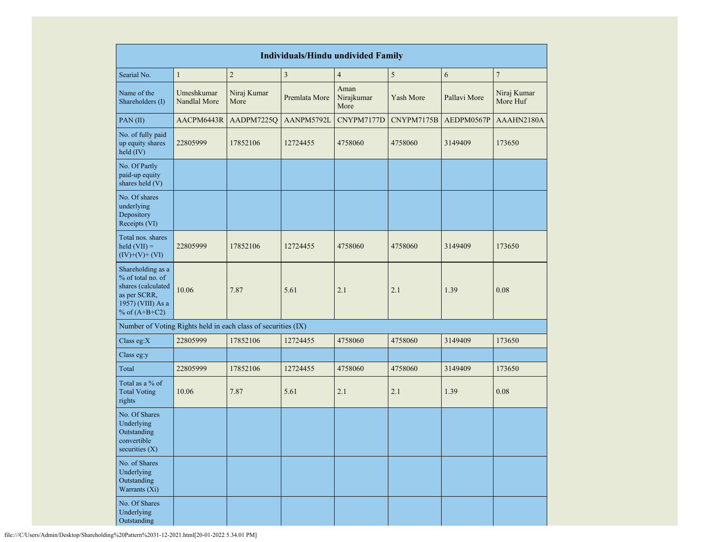|                                                                                                                      | <b>Individuals/Hindu undivided Family</b> |                     |               |                            |            |              |                         |  |  |  |
|----------------------------------------------------------------------------------------------------------------------|-------------------------------------------|---------------------|---------------|----------------------------|------------|--------------|-------------------------|--|--|--|
| Searial No.                                                                                                          | $\mathbf{1}$                              | $\overline{c}$      | $\mathfrak z$ | $\overline{4}$             | $\sqrt{5}$ | 6            | $\boldsymbol{7}$        |  |  |  |
| Name of the<br>Shareholders (I)                                                                                      | Umeshkumar<br>Nandlal More                | Niraj Kumar<br>More | Premlata More | Aman<br>Nirajkumar<br>More | Yash More  | Pallavi More | Niraj Kumar<br>More Huf |  |  |  |
| PAN(II)                                                                                                              | AACPM6443R                                | AADPM7225Q          | AANPM5792L    | CNYPM7177D                 | CNYPM7175B | AEDPM0567P   | AAAHN2180A              |  |  |  |
| No. of fully paid<br>up equity shares<br>held (IV)                                                                   | 22805999                                  | 17852106            | 12724455      | 4758060                    | 4758060    | 3149409      | 173650                  |  |  |  |
| No. Of Partly<br>paid-up equity<br>shares held (V)                                                                   |                                           |                     |               |                            |            |              |                         |  |  |  |
| No. Of shares<br>underlying<br>Depository<br>Receipts (VI)                                                           |                                           |                     |               |                            |            |              |                         |  |  |  |
| Total nos. shares<br>held $(VII) =$<br>$(IV)+(V)+(VI)$                                                               | 22805999                                  | 17852106            | 12724455      | 4758060                    | 4758060    | 3149409      | 173650                  |  |  |  |
| Shareholding as a<br>% of total no. of<br>shares (calculated<br>as per SCRR,<br>1957) (VIII) As a<br>% of $(A+B+C2)$ | 10.06                                     | 7.87                | 5.61          | 2.1                        | 2.1        | 1.39         | 0.08                    |  |  |  |
| Number of Voting Rights held in each class of securities (IX)                                                        |                                           |                     |               |                            |            |              |                         |  |  |  |
| Class eg: $X$                                                                                                        | 22805999                                  | 17852106            | 12724455      | 4758060                    | 4758060    | 3149409      | 173650                  |  |  |  |
| Class eg:y                                                                                                           |                                           |                     |               |                            |            |              |                         |  |  |  |
| Total                                                                                                                | 22805999                                  | 17852106            | 12724455      | 4758060                    | 4758060    | 3149409      | 173650                  |  |  |  |
| Total as a % of<br><b>Total Voting</b><br>rights                                                                     | 10.06                                     | 7.87                | 5.61          | 2.1                        | 2.1        | 1.39         | 0.08                    |  |  |  |
| No. Of Shares<br>Underlying<br>Outstanding<br>convertible<br>securities (X)                                          |                                           |                     |               |                            |            |              |                         |  |  |  |
| No. of Shares<br>Underlying<br>Outstanding<br>Warrants (Xi)                                                          |                                           |                     |               |                            |            |              |                         |  |  |  |
| No. Of Shares<br>Underlying<br>Outstanding                                                                           |                                           |                     |               |                            |            |              |                         |  |  |  |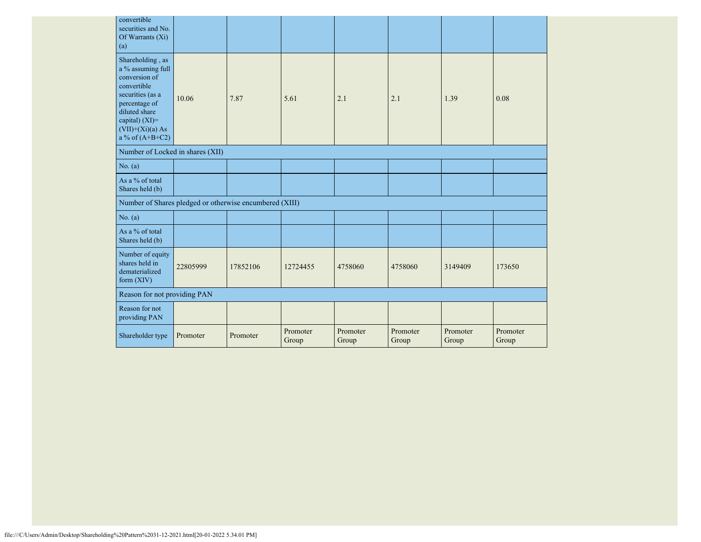| convertible<br>securities and No.<br>Of Warrants $(X_i)$<br>(a)                                                                                                                          |          |          |                   |                   |                   |                   |                   |
|------------------------------------------------------------------------------------------------------------------------------------------------------------------------------------------|----------|----------|-------------------|-------------------|-------------------|-------------------|-------------------|
| Shareholding, as<br>a % assuming full<br>conversion of<br>convertible<br>securities (as a<br>percentage of<br>diluted share<br>capital) (XI)=<br>$(VII)+(Xi)(a) As$<br>a % of $(A+B+C2)$ | 10.06    | 7.87     | 5.61              | 2.1               | 2.1               | 1.39              | 0.08              |
| Number of Locked in shares (XII)                                                                                                                                                         |          |          |                   |                   |                   |                   |                   |
| No. (a)                                                                                                                                                                                  |          |          |                   |                   |                   |                   |                   |
| As a % of total<br>Shares held (b)                                                                                                                                                       |          |          |                   |                   |                   |                   |                   |
| Number of Shares pledged or otherwise encumbered (XIII)                                                                                                                                  |          |          |                   |                   |                   |                   |                   |
| No. (a)                                                                                                                                                                                  |          |          |                   |                   |                   |                   |                   |
| As a % of total<br>Shares held (b)                                                                                                                                                       |          |          |                   |                   |                   |                   |                   |
| Number of equity<br>shares held in<br>dematerialized<br>form $(XIV)$                                                                                                                     | 22805999 | 17852106 | 12724455          | 4758060           | 4758060           | 3149409           | 173650            |
| Reason for not providing PAN                                                                                                                                                             |          |          |                   |                   |                   |                   |                   |
| Reason for not<br>providing PAN                                                                                                                                                          |          |          |                   |                   |                   |                   |                   |
| Shareholder type                                                                                                                                                                         | Promoter | Promoter | Promoter<br>Group | Promoter<br>Group | Promoter<br>Group | Promoter<br>Group | Promoter<br>Group |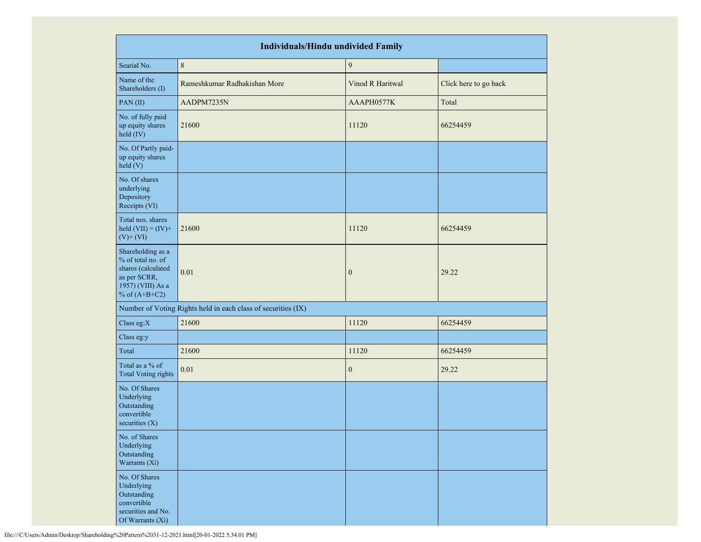| <b>Individuals/Hindu undivided Family</b>                                                                            |                                                               |                  |                       |  |  |  |  |  |  |
|----------------------------------------------------------------------------------------------------------------------|---------------------------------------------------------------|------------------|-----------------------|--|--|--|--|--|--|
| Searial No.                                                                                                          | $\,8\,$                                                       | $\boldsymbol{9}$ |                       |  |  |  |  |  |  |
| Name of the<br>Shareholders (I)                                                                                      | Rameshkumar Radhakishan More                                  | Vinod R Haritwal | Click here to go back |  |  |  |  |  |  |
| PAN (II)                                                                                                             | AADPM7235N                                                    | AAAPH0577K       | Total                 |  |  |  |  |  |  |
| No. of fully paid<br>up equity shares<br>$held$ (IV)                                                                 | 21600                                                         | 11120            | 66254459              |  |  |  |  |  |  |
| No. Of Partly paid-<br>up equity shares<br>held (V)                                                                  |                                                               |                  |                       |  |  |  |  |  |  |
| No. Of shares<br>underlying<br>Depository<br>Receipts (VI)                                                           |                                                               |                  |                       |  |  |  |  |  |  |
| Total nos. shares<br>held $(VII) = (IV) +$<br>$(V)$ + $(VI)$                                                         | 21600                                                         | 11120            | 66254459              |  |  |  |  |  |  |
| Shareholding as a<br>% of total no. of<br>shares (calculated<br>as per SCRR,<br>1957) (VIII) As a<br>% of $(A+B+C2)$ | 0.01                                                          | $\mathbf{0}$     | 29.22                 |  |  |  |  |  |  |
|                                                                                                                      | Number of Voting Rights held in each class of securities (IX) |                  |                       |  |  |  |  |  |  |
| Class eg:X                                                                                                           | 21600                                                         | 11120            | 66254459              |  |  |  |  |  |  |
| Class eg:y                                                                                                           |                                                               |                  |                       |  |  |  |  |  |  |
| Total                                                                                                                | 21600                                                         | 11120            | 66254459              |  |  |  |  |  |  |
| Total as a % of<br><b>Total Voting rights</b>                                                                        | 0.01                                                          | $\mathbf{0}$     | 29.22                 |  |  |  |  |  |  |
| No. Of Shares<br>Underlying<br>Outstanding<br>convertible<br>securities $(X)$                                        |                                                               |                  |                       |  |  |  |  |  |  |
| No. of Shares<br>Underlying<br>Outstanding<br>Warrants (Xi)                                                          |                                                               |                  |                       |  |  |  |  |  |  |
| No. Of Shares<br>Underlying<br>Outstanding<br>convertible<br>securities and No.<br>Of Warrants (Xi)                  |                                                               |                  |                       |  |  |  |  |  |  |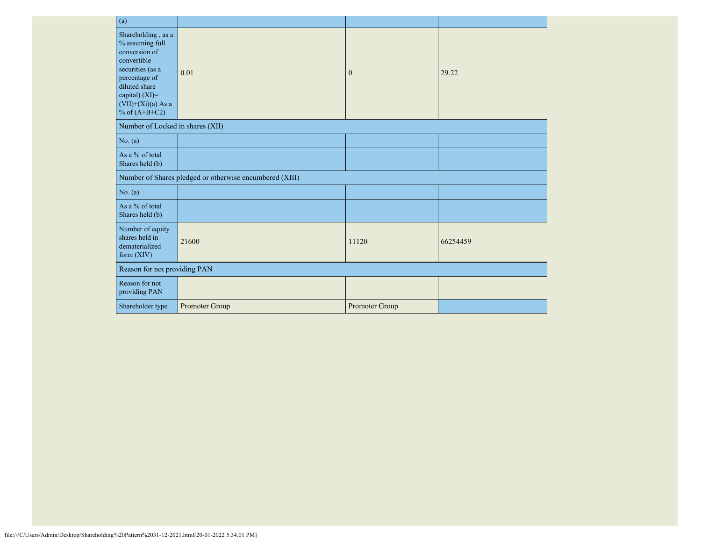| (a)                                                                                                                                                                                      |                                                         |                |          |
|------------------------------------------------------------------------------------------------------------------------------------------------------------------------------------------|---------------------------------------------------------|----------------|----------|
| Shareholding, as a<br>% assuming full<br>conversion of<br>convertible<br>securities (as a<br>percentage of<br>diluted share<br>capital) (XI)=<br>$(VII)+(Xi)(a)$ As a<br>% of $(A+B+C2)$ | 0.01                                                    | $\mathbf{0}$   | 29.22    |
| Number of Locked in shares (XII)                                                                                                                                                         |                                                         |                |          |
| No. (a)                                                                                                                                                                                  |                                                         |                |          |
| As a % of total<br>Shares held (b)                                                                                                                                                       |                                                         |                |          |
|                                                                                                                                                                                          | Number of Shares pledged or otherwise encumbered (XIII) |                |          |
| No. (a)                                                                                                                                                                                  |                                                         |                |          |
| As a % of total<br>Shares held (b)                                                                                                                                                       |                                                         |                |          |
| Number of equity<br>shares held in<br>dematerialized<br>form $(XIV)$                                                                                                                     | 21600                                                   | 11120          | 66254459 |
| Reason for not providing PAN                                                                                                                                                             |                                                         |                |          |
| Reason for not<br>providing PAN                                                                                                                                                          |                                                         |                |          |
| Shareholder type                                                                                                                                                                         | Promoter Group                                          | Promoter Group |          |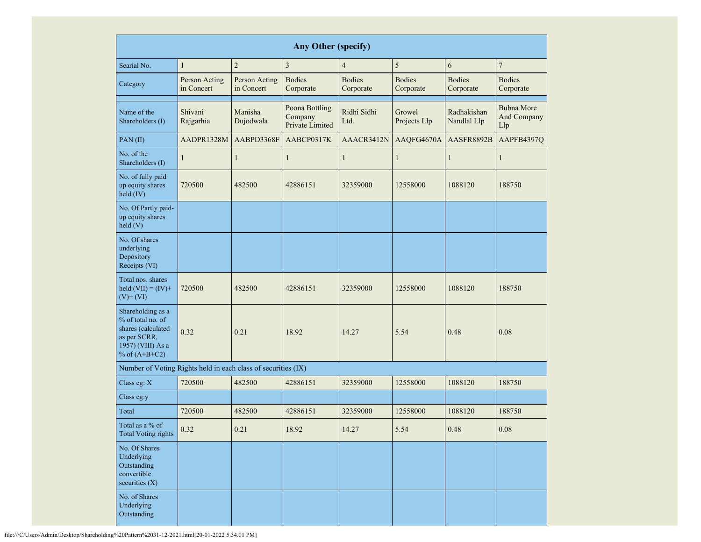|                                                                                                                      | <b>Any Other (specify)</b>  |                             |                                              |                            |                                                      |                            |                                         |  |  |  |  |  |  |  |
|----------------------------------------------------------------------------------------------------------------------|-----------------------------|-----------------------------|----------------------------------------------|----------------------------|------------------------------------------------------|----------------------------|-----------------------------------------|--|--|--|--|--|--|--|
| Searial No.                                                                                                          | $\mathbf{1}$                | $\overline{c}$              | $\mathfrak{Z}$                               | $\overline{4}$             | 5                                                    | 6                          | $\boldsymbol{7}$                        |  |  |  |  |  |  |  |
| Category                                                                                                             | Person Acting<br>in Concert | Person Acting<br>in Concert | <b>Bodies</b><br>Corporate                   | <b>Bodies</b><br>Corporate | <b>Bodies</b><br>Corporate                           | <b>Bodies</b><br>Corporate | <b>Bodies</b><br>Corporate              |  |  |  |  |  |  |  |
| Name of the<br>Shareholders (I)                                                                                      | Shivani<br>Rajgarhia        | Manisha<br>Dujodwala        | Poona Bottling<br>Company<br>Private Limited | Ridhi Sidhi<br>Ltd.        | Growel<br>Radhakishan<br>Nandlal Llp<br>Projects Llp |                            | <b>Bubna More</b><br>And Company<br>Llp |  |  |  |  |  |  |  |
| PAN(II)                                                                                                              | AADPR1328M                  | AABPD3368F                  | AABCP0317K                                   | AAACR3412N                 | AAQFG4670A                                           | AASFR8892B                 | AAPFB4397Q                              |  |  |  |  |  |  |  |
| No. of the<br>Shareholders (I)                                                                                       | $\mathbf{1}$                | $\mathbf{1}$                | $\mathbf{1}$                                 | $\mathbf{1}$               | $\mathbf{1}$                                         | 1                          | 1                                       |  |  |  |  |  |  |  |
| No. of fully paid<br>up equity shares<br>held (IV)                                                                   | 720500                      | 482500                      | 42886151                                     | 32359000                   | 12558000                                             | 1088120                    | 188750                                  |  |  |  |  |  |  |  |
| No. Of Partly paid-<br>up equity shares<br>held(V)                                                                   |                             |                             |                                              |                            |                                                      |                            |                                         |  |  |  |  |  |  |  |
| No. Of shares<br>underlying<br>Depository<br>Receipts (VI)                                                           |                             |                             |                                              |                            |                                                      |                            |                                         |  |  |  |  |  |  |  |
| Total nos. shares<br>held $(VII) = (IV) +$<br>$(V)$ + $(VI)$                                                         | 720500                      | 482500                      | 42886151                                     | 32359000                   | 12558000                                             | 1088120                    | 188750                                  |  |  |  |  |  |  |  |
| Shareholding as a<br>% of total no. of<br>shares (calculated<br>as per SCRR,<br>1957) (VIII) As a<br>% of $(A+B+C2)$ | 0.32                        | 0.21                        | 18.92                                        | 14.27                      | 5.54                                                 | 0.48                       | 0.08                                    |  |  |  |  |  |  |  |
| Number of Voting Rights held in each class of securities (IX)                                                        |                             |                             |                                              |                            |                                                      |                            |                                         |  |  |  |  |  |  |  |
| Class eg: $X$                                                                                                        | 720500                      | 482500                      | 42886151                                     | 32359000                   | 12558000                                             | 1088120                    | 188750                                  |  |  |  |  |  |  |  |
| Class eg:y                                                                                                           |                             |                             |                                              |                            |                                                      |                            |                                         |  |  |  |  |  |  |  |
| Total                                                                                                                | 720500                      | 482500                      | 42886151                                     | 32359000                   | 12558000                                             | 1088120                    | 188750                                  |  |  |  |  |  |  |  |
| Total as a % of<br><b>Total Voting rights</b>                                                                        | 0.32                        | 0.21                        | 18.92                                        | 14.27                      | 5.54                                                 | 0.48                       | $0.08\,$                                |  |  |  |  |  |  |  |
| No. Of Shares<br>Underlying<br>Outstanding<br>convertible<br>securities $(X)$                                        |                             |                             |                                              |                            |                                                      |                            |                                         |  |  |  |  |  |  |  |
| No. of Shares<br>Underlying<br>Outstanding                                                                           |                             |                             |                                              |                            |                                                      |                            |                                         |  |  |  |  |  |  |  |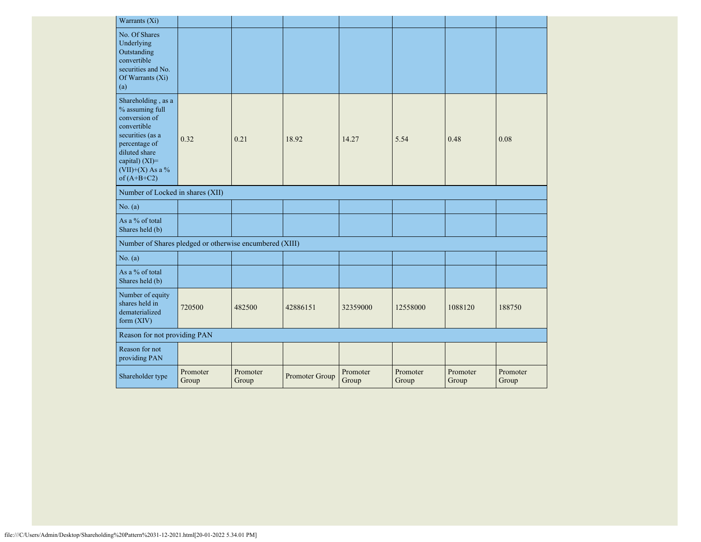| Warrants (Xi)                                                                                                                                                                        |                   |                   |                |                   |                   |                   |                   |
|--------------------------------------------------------------------------------------------------------------------------------------------------------------------------------------|-------------------|-------------------|----------------|-------------------|-------------------|-------------------|-------------------|
| No. Of Shares<br>Underlying<br>Outstanding<br>convertible<br>securities and No.<br>Of Warrants (Xi)<br>(a)                                                                           |                   |                   |                |                   |                   |                   |                   |
| Shareholding, as a<br>% assuming full<br>conversion of<br>convertible<br>securities (as a<br>percentage of<br>diluted share<br>capital) (XI)=<br>$(VII)+(X)$ As a %<br>of $(A+B+C2)$ | 0.32              | 0.21              | 18.92          | 14.27             | 5.54              | 0.48              | 0.08              |
| Number of Locked in shares (XII)                                                                                                                                                     |                   |                   |                |                   |                   |                   |                   |
| No. (a)                                                                                                                                                                              |                   |                   |                |                   |                   |                   |                   |
| As a % of total<br>Shares held (b)                                                                                                                                                   |                   |                   |                |                   |                   |                   |                   |
| Number of Shares pledged or otherwise encumbered (XIII)                                                                                                                              |                   |                   |                |                   |                   |                   |                   |
| No. $(a)$                                                                                                                                                                            |                   |                   |                |                   |                   |                   |                   |
| As a % of total<br>Shares held (b)                                                                                                                                                   |                   |                   |                |                   |                   |                   |                   |
| Number of equity<br>shares held in<br>dematerialized<br>form $(XIV)$                                                                                                                 | 720500            | 482500            | 42886151       | 32359000          | 12558000          | 1088120           | 188750            |
| Reason for not providing PAN                                                                                                                                                         |                   |                   |                |                   |                   |                   |                   |
| Reason for not<br>providing PAN                                                                                                                                                      |                   |                   |                |                   |                   |                   |                   |
| Shareholder type                                                                                                                                                                     | Promoter<br>Group | Promoter<br>Group | Promoter Group | Promoter<br>Group | Promoter<br>Group | Promoter<br>Group | Promoter<br>Group |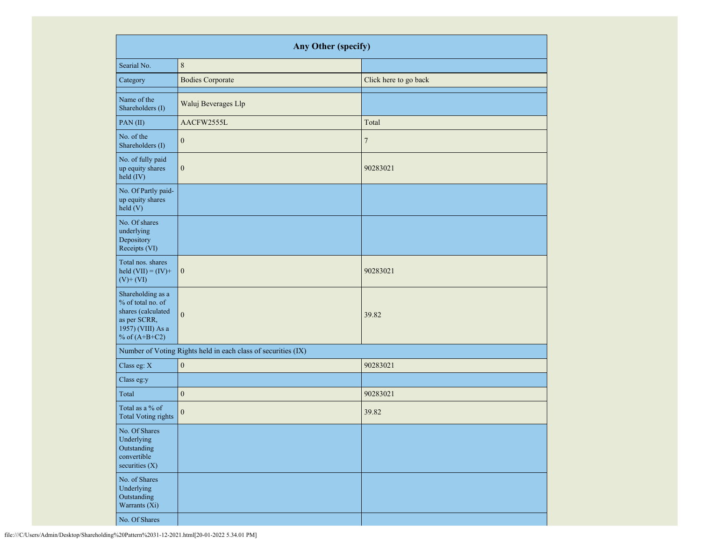|                                                                                                                      | Any Other (specify)                                           |                       |
|----------------------------------------------------------------------------------------------------------------------|---------------------------------------------------------------|-----------------------|
| Searial No.                                                                                                          | $\,8\,$                                                       |                       |
| Category                                                                                                             | <b>Bodies Corporate</b>                                       | Click here to go back |
| Name of the<br>Shareholders (I)                                                                                      | Waluj Beverages Llp                                           |                       |
| PAN(II)                                                                                                              | AACFW2555L                                                    | Total                 |
| No. of the<br>Shareholders (I)                                                                                       | $\mathbf{0}$                                                  | $\tau$                |
| No. of fully paid<br>up equity shares<br>held (IV)                                                                   | $\boldsymbol{0}$                                              | 90283021              |
| No. Of Partly paid-<br>up equity shares<br>held (V)                                                                  |                                                               |                       |
| No. Of shares<br>underlying<br>Depository<br>Receipts (VI)                                                           |                                                               |                       |
| Total nos. shares<br>held $(VII) = (IV) +$<br>$(V)$ + $(VI)$                                                         | $\boldsymbol{0}$                                              | 90283021              |
| Shareholding as a<br>% of total no. of<br>shares (calculated<br>as per SCRR,<br>1957) (VIII) As a<br>% of $(A+B+C2)$ | $\mathbf{0}$                                                  | 39.82                 |
|                                                                                                                      | Number of Voting Rights held in each class of securities (IX) |                       |
| Class eg: X                                                                                                          | $\boldsymbol{0}$                                              | 90283021              |
| Class eg:y                                                                                                           |                                                               |                       |
| Total                                                                                                                | $\boldsymbol{0}$                                              | 90283021              |
| Total as a % of<br><b>Total Voting rights</b>                                                                        | $\boldsymbol{0}$                                              | 39.82                 |
| No. Of Shares<br>Underlying<br>Outstanding<br>convertible<br>securities $(X)$                                        |                                                               |                       |
| No. of Shares<br>Underlying<br>Outstanding<br>Warrants (Xi)                                                          |                                                               |                       |
| No. Of Shares                                                                                                        |                                                               |                       |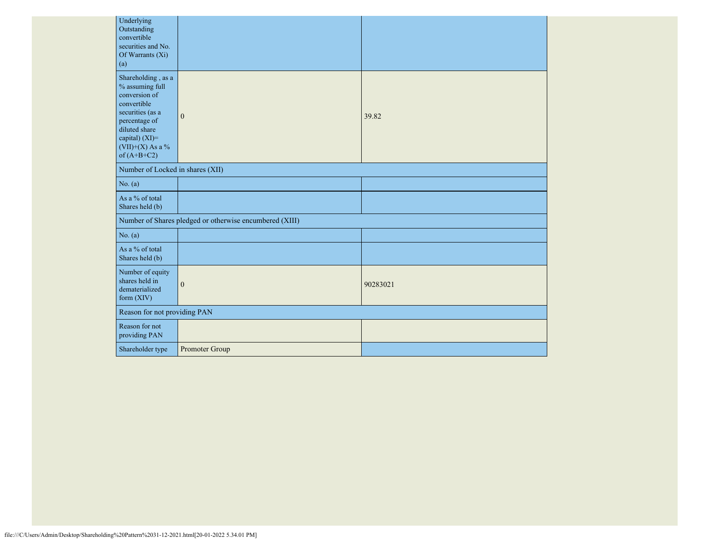| Underlying<br>Outstanding<br>convertible<br>securities and No.<br>Of Warrants (Xi)<br>(a)                                                                                            |                                                         |          |
|--------------------------------------------------------------------------------------------------------------------------------------------------------------------------------------|---------------------------------------------------------|----------|
| Shareholding, as a<br>% assuming full<br>conversion of<br>convertible<br>securities (as a<br>percentage of<br>diluted share<br>capital) (XI)=<br>$(VII)+(X)$ As a %<br>of $(A+B+C2)$ | $\mathbf{0}$                                            | 39.82    |
| Number of Locked in shares (XII)                                                                                                                                                     |                                                         |          |
| No. (a)                                                                                                                                                                              |                                                         |          |
| As a % of total<br>Shares held (b)                                                                                                                                                   |                                                         |          |
|                                                                                                                                                                                      | Number of Shares pledged or otherwise encumbered (XIII) |          |
| No. (a)                                                                                                                                                                              |                                                         |          |
| As a % of total<br>Shares held (b)                                                                                                                                                   |                                                         |          |
| Number of equity<br>shares held in<br>dematerialized<br>form (XIV)                                                                                                                   | $\boldsymbol{0}$                                        | 90283021 |
| Reason for not providing PAN                                                                                                                                                         |                                                         |          |
| Reason for not<br>providing PAN                                                                                                                                                      |                                                         |          |
| Shareholder type                                                                                                                                                                     | Promoter Group                                          |          |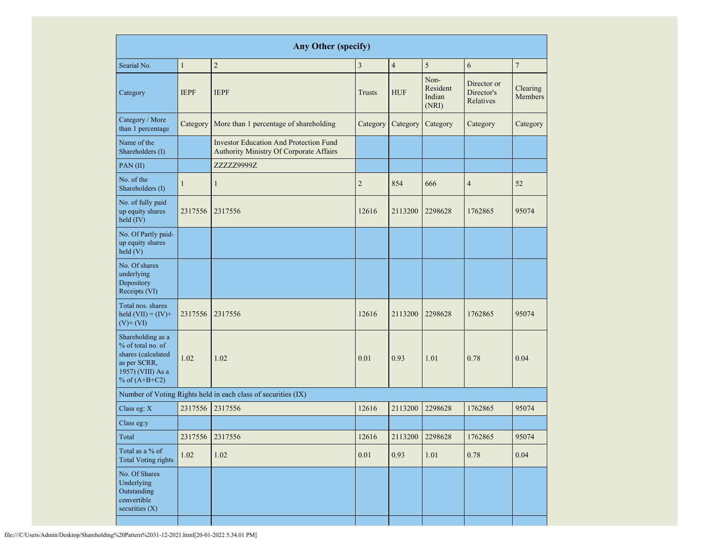| <b>Any Other (specify)</b>                                                                                           |              |                                                                                          |                |                |                                     |                                        |                     |  |  |  |  |  |
|----------------------------------------------------------------------------------------------------------------------|--------------|------------------------------------------------------------------------------------------|----------------|----------------|-------------------------------------|----------------------------------------|---------------------|--|--|--|--|--|
| Searial No.                                                                                                          | $\mathbf{1}$ | $\overline{2}$                                                                           | 3              | $\overline{4}$ | 5                                   | 6                                      | $\overline{7}$      |  |  |  |  |  |
| Category                                                                                                             | <b>IEPF</b>  | <b>IEPF</b>                                                                              | Trusts         | <b>HUF</b>     | Non-<br>Resident<br>Indian<br>(NRI) | Director or<br>Director's<br>Relatives | Clearing<br>Members |  |  |  |  |  |
| Category / More<br>than 1 percentage                                                                                 | Category     | More than 1 percentage of shareholding                                                   | Category       | Category       | Category                            | Category                               | Category            |  |  |  |  |  |
| Name of the<br>Shareholders (I)                                                                                      |              | <b>Investor Education And Protection Fund</b><br>Authority Ministry Of Corporate Affairs |                |                |                                     |                                        |                     |  |  |  |  |  |
| PAN(II)                                                                                                              |              | ZZZZZ9999Z                                                                               |                |                |                                     |                                        |                     |  |  |  |  |  |
| No. of the<br>Shareholders (I)                                                                                       | $\mathbf{1}$ | $\mathbf{1}$                                                                             | $\overline{2}$ | 854            | 666                                 | $\overline{4}$                         | 52                  |  |  |  |  |  |
| No. of fully paid<br>up equity shares<br>held (IV)                                                                   | 2317556      | 2317556                                                                                  | 12616          | 2113200        | 2298628                             | 1762865                                | 95074               |  |  |  |  |  |
| No. Of Partly paid-<br>up equity shares<br>held(V)                                                                   |              |                                                                                          |                |                |                                     |                                        |                     |  |  |  |  |  |
| No. Of shares<br>underlying<br>Depository<br>Receipts (VI)                                                           |              |                                                                                          |                |                |                                     |                                        |                     |  |  |  |  |  |
| Total nos. shares<br>held $(VII) = (IV) +$<br>$(V)$ + $(VI)$                                                         | 2317556      | 2317556                                                                                  | 12616          | 2113200        | 2298628                             | 1762865                                | 95074               |  |  |  |  |  |
| Shareholding as a<br>% of total no. of<br>shares (calculated<br>as per SCRR,<br>1957) (VIII) As a<br>% of $(A+B+C2)$ | 1.02         | 1.02                                                                                     | 0.01           | 0.93           | 1.01                                | 0.78                                   | 0.04                |  |  |  |  |  |
|                                                                                                                      |              | Number of Voting Rights held in each class of securities (IX)                            |                |                |                                     |                                        |                     |  |  |  |  |  |
| Class eg: X                                                                                                          | 2317556      | 2317556                                                                                  | 12616          | 2113200        | 2298628                             | 1762865                                | 95074               |  |  |  |  |  |
| Class eg:y                                                                                                           |              |                                                                                          |                |                |                                     |                                        |                     |  |  |  |  |  |
| Total                                                                                                                | 2317556      | 2317556                                                                                  | 12616          | 2113200        | 2298628                             | 1762865                                | 95074               |  |  |  |  |  |
| Total as a % of<br><b>Total Voting rights</b>                                                                        | 1.02         | 1.02                                                                                     | 0.01           | 0.93           | $1.01\,$                            | 0.78                                   | 0.04                |  |  |  |  |  |
| No. Of Shares<br>Underlying<br>Outstanding<br>convertible<br>securities $(X)$                                        |              |                                                                                          |                |                |                                     |                                        |                     |  |  |  |  |  |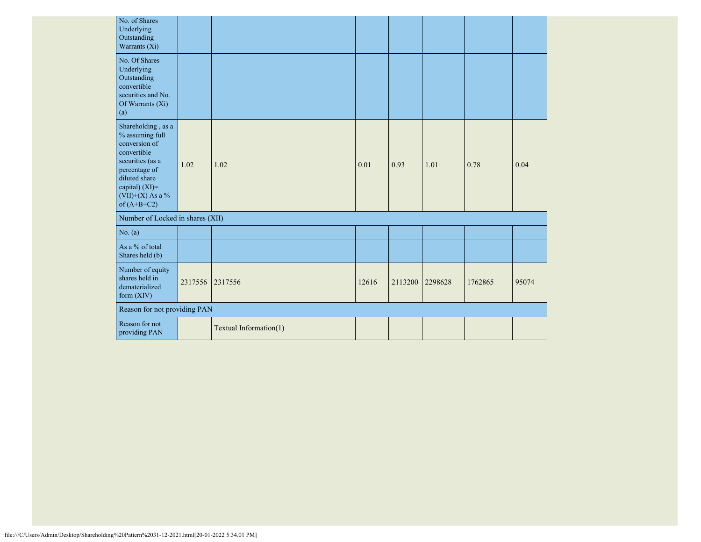| No. of Shares<br>Underlying<br>Outstanding<br>Warrants (Xi)                                                                                                                          |         |                        |       |         |         |         |       |
|--------------------------------------------------------------------------------------------------------------------------------------------------------------------------------------|---------|------------------------|-------|---------|---------|---------|-------|
| No. Of Shares<br>Underlying<br>Outstanding<br>convertible<br>securities and No.<br>Of Warrants (Xi)<br>(a)                                                                           |         |                        |       |         |         |         |       |
| Shareholding, as a<br>% assuming full<br>conversion of<br>convertible<br>securities (as a<br>percentage of<br>diluted share<br>capital) (XI)=<br>$(VII)+(X)$ As a %<br>of $(A+B+C2)$ | 1.02    | 1.02                   | 0.01  | 0.93    | 1.01    | 0.78    | 0.04  |
| Number of Locked in shares (XII)                                                                                                                                                     |         |                        |       |         |         |         |       |
| No. (a)                                                                                                                                                                              |         |                        |       |         |         |         |       |
| As a % of total<br>Shares held (b)                                                                                                                                                   |         |                        |       |         |         |         |       |
| Number of equity<br>shares held in<br>dematerialized<br>form (XIV)                                                                                                                   | 2317556 | 2317556                | 12616 | 2113200 | 2298628 | 1762865 | 95074 |
| Reason for not providing PAN                                                                                                                                                         |         |                        |       |         |         |         |       |
| Reason for not<br>providing PAN                                                                                                                                                      |         | Textual Information(1) |       |         |         |         |       |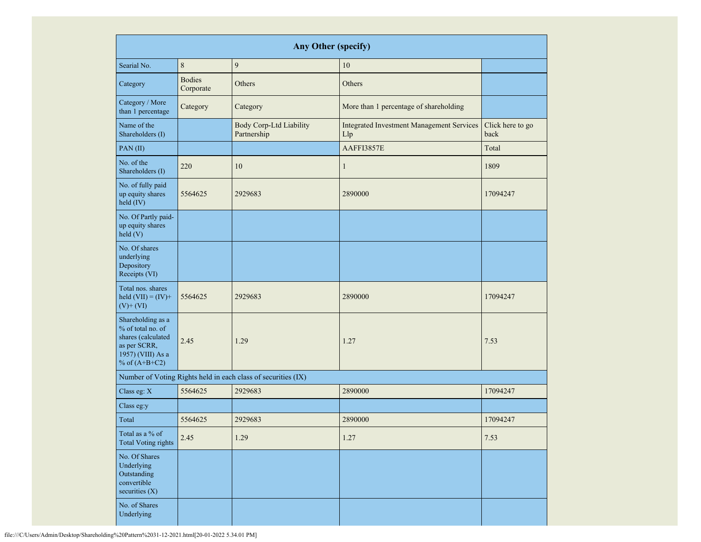|                                                                                                                      |                            | <b>Any Other (specify)</b>                                    |                                                         |                          |
|----------------------------------------------------------------------------------------------------------------------|----------------------------|---------------------------------------------------------------|---------------------------------------------------------|--------------------------|
| Searial No.                                                                                                          | 8                          | 9                                                             | 10                                                      |                          |
| Category                                                                                                             | <b>Bodies</b><br>Corporate | Others                                                        | Others                                                  |                          |
| Category / More<br>than 1 percentage                                                                                 | Category                   | Category                                                      | More than 1 percentage of shareholding                  |                          |
| Name of the<br>Shareholders (I)                                                                                      |                            | <b>Body Corp-Ltd Liability</b><br>Partnership                 | <b>Integrated Investment Management Services</b><br>Llp | Click here to go<br>back |
| PAN (II)                                                                                                             |                            |                                                               | AAFFI3857E                                              | Total                    |
| No. of the<br>Shareholders (I)                                                                                       | 220                        | 10                                                            | $\mathbf{1}$                                            | 1809                     |
| No. of fully paid<br>up equity shares<br>held (IV)                                                                   | 5564625<br>2929683         |                                                               | 2890000                                                 | 17094247                 |
| No. Of Partly paid-<br>up equity shares<br>held(V)                                                                   |                            |                                                               |                                                         |                          |
| No. Of shares<br>underlying<br>Depository<br>Receipts (VI)                                                           |                            |                                                               |                                                         |                          |
| Total nos. shares<br>held $(VII) = (IV) +$<br>$(V)$ + $(VI)$                                                         | 5564625                    | 2929683                                                       | 2890000                                                 | 17094247                 |
| Shareholding as a<br>% of total no. of<br>shares (calculated<br>as per SCRR,<br>1957) (VIII) As a<br>% of $(A+B+C2)$ | 2.45<br>1.29               |                                                               | 1.27                                                    | 7.53                     |
|                                                                                                                      |                            | Number of Voting Rights held in each class of securities (IX) |                                                         |                          |
| Class eg: X                                                                                                          | 5564625                    | 2929683                                                       | 2890000                                                 | 17094247                 |
| Class eg:y                                                                                                           |                            |                                                               |                                                         |                          |
| Total                                                                                                                | 5564625                    | 2929683                                                       | 2890000                                                 | 17094247                 |
| Total as a % of<br><b>Total Voting rights</b>                                                                        | 2.45                       | 1.29                                                          | 1.27                                                    | 7.53                     |
| No. Of Shares<br>Underlying<br>Outstanding<br>convertible<br>securities $(X)$                                        |                            |                                                               |                                                         |                          |
| No. of Shares<br>Underlying                                                                                          |                            |                                                               |                                                         |                          |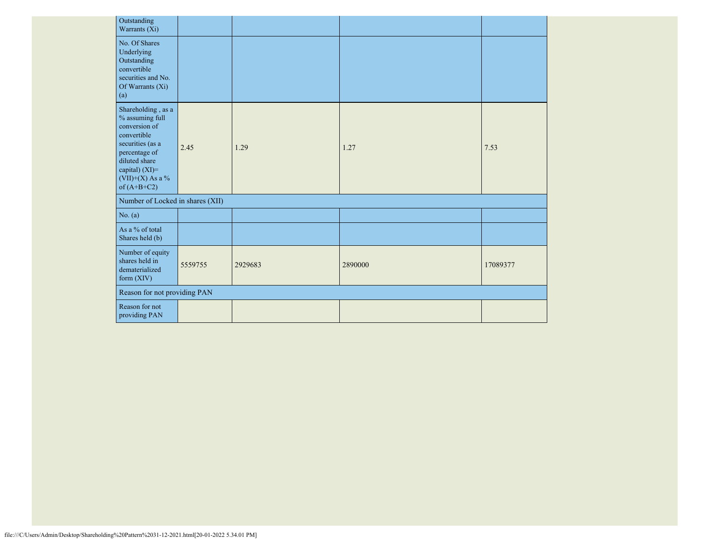| Outstanding<br>Warrants (Xi)                                                                                                                                                          |         |         |         |          |
|---------------------------------------------------------------------------------------------------------------------------------------------------------------------------------------|---------|---------|---------|----------|
| No. Of Shares<br>Underlying<br>Outstanding<br>convertible<br>securities and No.<br>Of Warrants (Xi)<br>(a)                                                                            |         |         |         |          |
| Shareholding, as a<br>$\%$ assuming full<br>conversion of<br>convertible<br>securities (as a<br>percentage of<br>diluted share<br>capital) (XI)=<br>(VII)+(X) As a %<br>of $(A+B+C2)$ | 2.45    | 1.29    | 1.27    | 7.53     |
| Number of Locked in shares (XII)                                                                                                                                                      |         |         |         |          |
| No. (a)                                                                                                                                                                               |         |         |         |          |
| As a % of total<br>Shares held (b)                                                                                                                                                    |         |         |         |          |
| Number of equity<br>shares held in<br>dematerialized<br>form $(XIV)$                                                                                                                  | 5559755 | 2929683 | 2890000 | 17089377 |
| Reason for not providing PAN                                                                                                                                                          |         |         |         |          |
| Reason for not<br>providing PAN                                                                                                                                                       |         |         |         |          |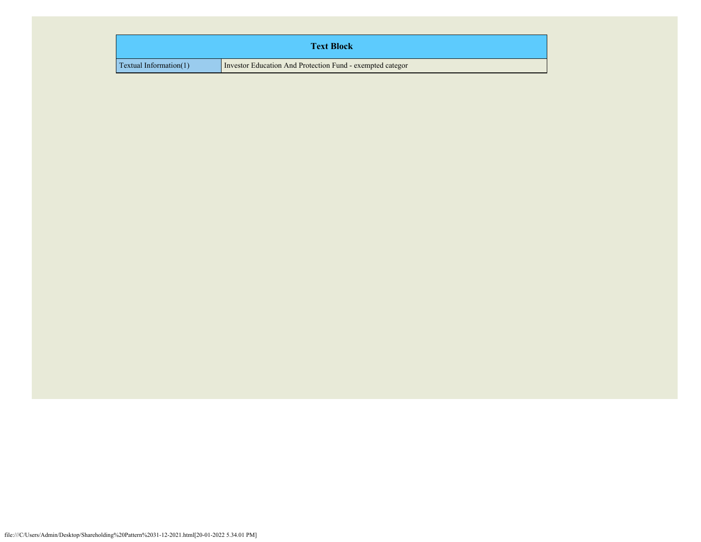| <b>Text Block</b>               |                                                           |  |  |  |  |  |
|---------------------------------|-----------------------------------------------------------|--|--|--|--|--|
| $\Gamma$ Textual Information(1) | Investor Education And Protection Fund - exempted categor |  |  |  |  |  |